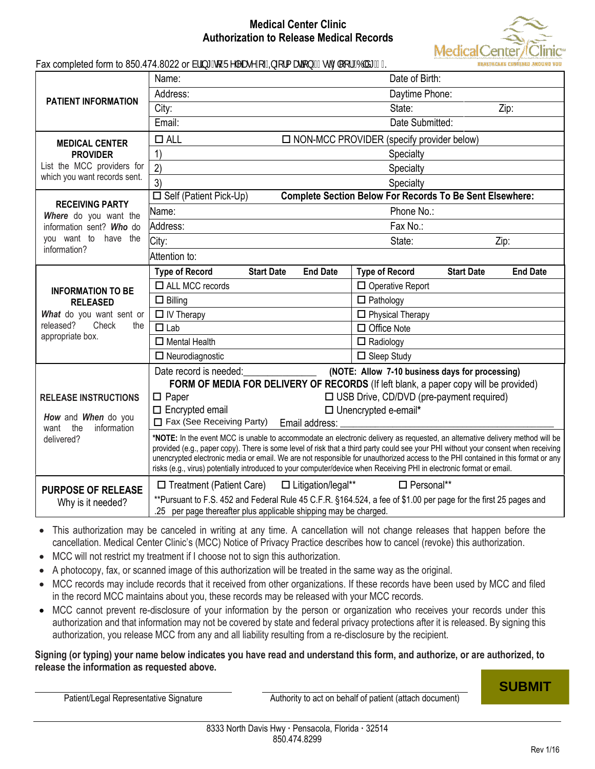## **Medical Center Clinic Authorization to Release Medical Records**



|  |  |  |  | Fax completed form to 850.474.8022 or Vf]b[ ˈhc FY`YUgY cZ±oZtfa Ur]cb f%gh: `ccfž6`X[ %L |  |
|--|--|--|--|-------------------------------------------------------------------------------------------|--|
|  |  |  |  |                                                                                           |  |

|                                               | Name:                                                                                                                                                                                                                                                              | Date of Birth:                                                |  |  |  |  |  |
|-----------------------------------------------|--------------------------------------------------------------------------------------------------------------------------------------------------------------------------------------------------------------------------------------------------------------------|---------------------------------------------------------------|--|--|--|--|--|
|                                               | Address:                                                                                                                                                                                                                                                           | Daytime Phone:                                                |  |  |  |  |  |
| PATIENT INFORMATION                           | City:                                                                                                                                                                                                                                                              | State:<br>Zip:                                                |  |  |  |  |  |
|                                               | Email:<br>Date Submitted:                                                                                                                                                                                                                                          |                                                               |  |  |  |  |  |
| <b>MEDICAL CENTER</b>                         | $\Box$ ALL<br>$\Box$ NON-MCC PROVIDER (specify provider below)                                                                                                                                                                                                     |                                                               |  |  |  |  |  |
| <b>PROVIDER</b>                               | 1)<br>Specialty                                                                                                                                                                                                                                                    |                                                               |  |  |  |  |  |
| List the MCC providers for                    | 2)<br>Specialty                                                                                                                                                                                                                                                    |                                                               |  |  |  |  |  |
| which you want records sent.                  | 3)                                                                                                                                                                                                                                                                 | Specialty                                                     |  |  |  |  |  |
| <b>RECEIVING PARTY</b>                        | <b>Complete Section Below For Records To Be Sent Elsewhere:</b><br>$\Box$ Self (Patient Pick-Up)                                                                                                                                                                   |                                                               |  |  |  |  |  |
| Where do you want the                         | Name:                                                                                                                                                                                                                                                              | Phone No.:                                                    |  |  |  |  |  |
| information sent? Who do                      | Address:                                                                                                                                                                                                                                                           | Fax No.:                                                      |  |  |  |  |  |
| you want to have the                          | City:                                                                                                                                                                                                                                                              | Zip:<br>State:                                                |  |  |  |  |  |
| information?                                  | Attention to:                                                                                                                                                                                                                                                      |                                                               |  |  |  |  |  |
|                                               | <b>Type of Record</b><br><b>Start Date</b><br><b>End Date</b>                                                                                                                                                                                                      | <b>Type of Record</b><br><b>Start Date</b><br><b>End Date</b> |  |  |  |  |  |
| <b>INFORMATION TO BE</b>                      | $\Box$ ALL MCC records                                                                                                                                                                                                                                             | $\Box$ Operative Report                                       |  |  |  |  |  |
| <b>RELEASED</b>                               | $\Box$ Billing                                                                                                                                                                                                                                                     | $\Box$ Pathology                                              |  |  |  |  |  |
| What do you want sent or                      | $\Box$ IV Therapy                                                                                                                                                                                                                                                  | $\Box$ Physical Therapy                                       |  |  |  |  |  |
| released?<br>Check<br>the<br>appropriate box. | $\Box$ Lab                                                                                                                                                                                                                                                         | $\Box$ Office Note                                            |  |  |  |  |  |
|                                               | $\Box$ Mental Health                                                                                                                                                                                                                                               | $\Box$ Radiology                                              |  |  |  |  |  |
|                                               | $\Box$ Neurodiagnostic                                                                                                                                                                                                                                             | $\Box$ Sleep Study                                            |  |  |  |  |  |
|                                               | Date record is needed:<br>(NOTE: Allow 7-10 business days for processing)                                                                                                                                                                                          |                                                               |  |  |  |  |  |
|                                               | FORM OF MEDIA FOR DELIVERY OF RECORDS (If left blank, a paper copy will be provided)                                                                                                                                                                               |                                                               |  |  |  |  |  |
| <b>RELEASE INSTRUCTIONS</b>                   | $\square$ Paper<br>□ USB Drive, CD/DVD (pre-payment required)                                                                                                                                                                                                      |                                                               |  |  |  |  |  |
| How and When do you                           | $\Box$ Encrypted email<br>□ Unencrypted e-email*<br>Fax (See Receiving Party)                                                                                                                                                                                      |                                                               |  |  |  |  |  |
| information<br>want<br>the                    | Email address:                                                                                                                                                                                                                                                     |                                                               |  |  |  |  |  |
| delivered?                                    | *NOTE: In the event MCC is unable to accommodate an electronic delivery as requested, an alternative delivery method will be<br>provided (e.g., paper copy). There is some level of risk that a third party could see your PHI without your consent when receiving |                                                               |  |  |  |  |  |
|                                               | unencrypted electronic media or email. We are not responsible for unauthorized access to the PHI contained in this format or any                                                                                                                                   |                                                               |  |  |  |  |  |
|                                               | risks (e.g., virus) potentially introduced to your computer/device when Receiving PHI in electronic format or email.                                                                                                                                               |                                                               |  |  |  |  |  |
| <b>PURPOSE OF RELEASE</b>                     | □ Treatment (Patient Care) □ Litigation/legal**                                                                                                                                                                                                                    | $\Box$ Personal**                                             |  |  |  |  |  |
| Why is it needed?                             | **Pursuant to F.S. 452 and Federal Rule 45 C.F.R. §164.524, a fee of \$1.00 per page for the first 25 pages and<br>.25 per page thereafter plus applicable shipping may be charged.                                                                                |                                                               |  |  |  |  |  |

- This authorization may be canceled in writing at any time. A cancellation will not change releases that happen before the cancellation. Medical Center Clinic's (MCC) Notice of Privacy Practice describes how to cancel (revoke) this authorization.
- MCC will not restrict my treatment if I choose not to sign this authorization.
- A photocopy, fax, or scanned image of this authorization will be treated in the same way as the original.
- MCC records may include records that it received from other organizations. If these records have been used by MCC and filed in the record MCC maintains about you, these records may be released with your MCC records.
- MCC cannot prevent re-disclosure of your information by the person or organization who receives your records under this authorization and that information may not be covered by state and federal privacy protections after it is released. By signing this authorization, you release MCC from any and all liability resulting from a re-disclosure by the recipient.

## **Signing (or typing) your name below indicates you have read and understand this form, and authorize, or are authorized, to release the information as requested above.**

Patient/Legal Representative Signature **Authority to act on behalf of patient (attach document)** Patient (attach document)

**SUBMIT**